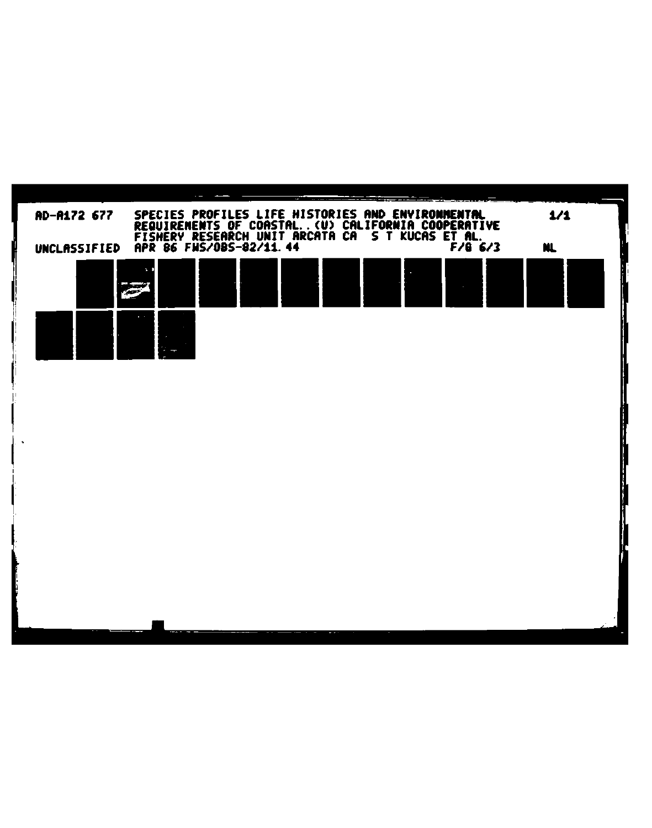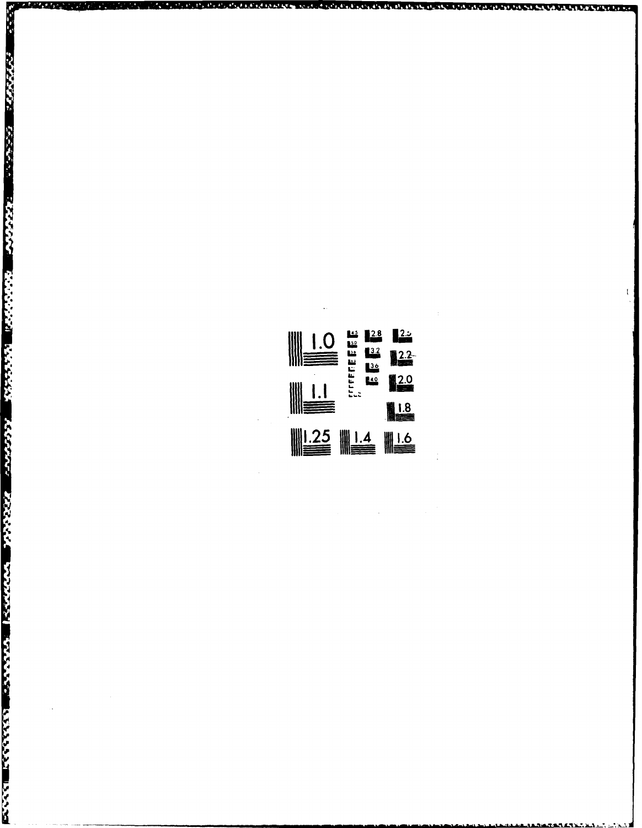**1.0 122 122**<br>**122 122 122**<br>**1.1 1.1 1.1 1.1 1.1**<br>**1.1 1.1 1.1**  $\frac{1.25}{2}$   $\frac{1.4}{2}$ 

**Provincial California Alanda** 

**MARING ANG PANGAN ANG PANGANG PANGANG PANGANG PANGANG PANGANG PANGANG PANGANG PANGANG PANGANG PANGANG PANGang**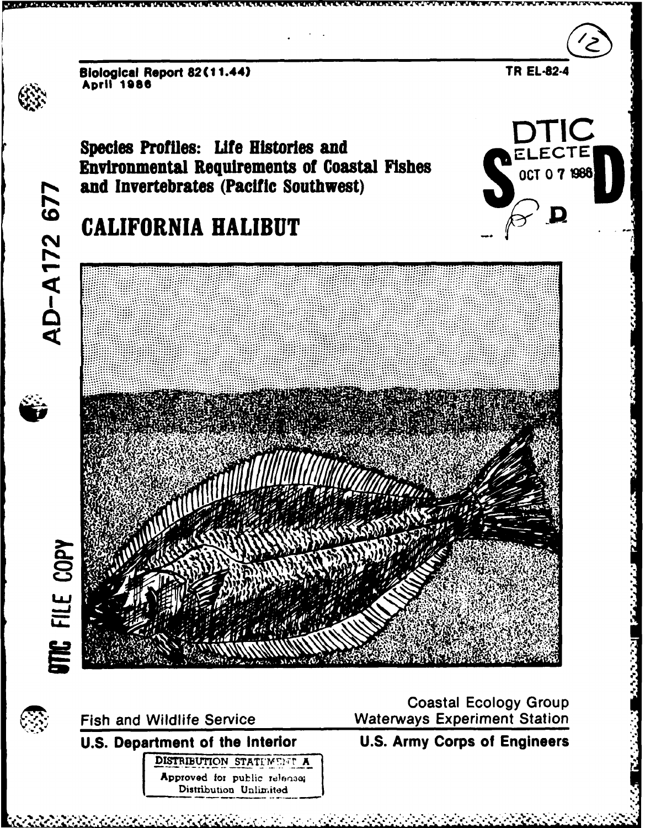



U.S. Department of the Interior

DISTRIBUTION STATEWENT A Approved for public relense; Distribution Unlimited

**Coastal Ecology Group Waterways Experiment Station** 

**U.S. Army Corps of Engineers**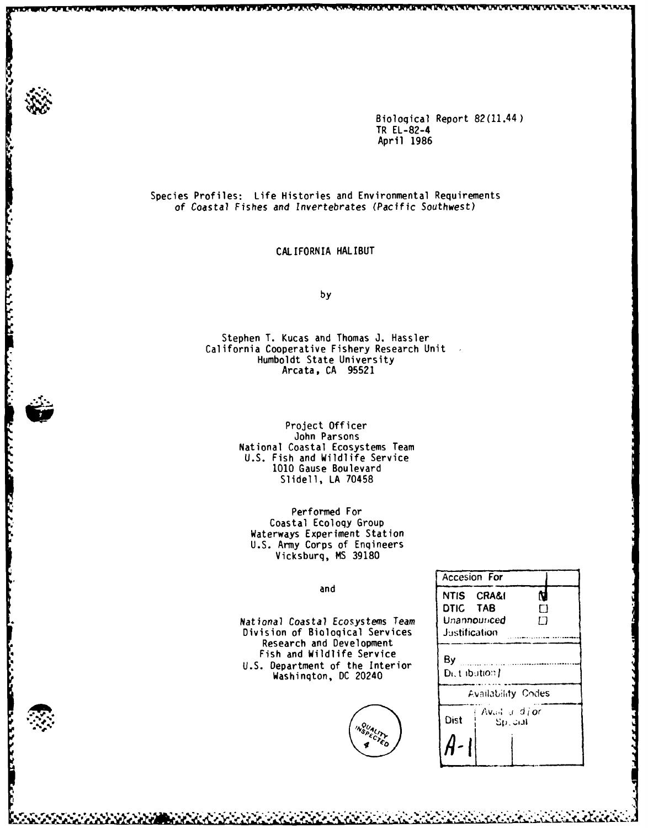Biological Report 82(11.44) TR EL-82-4 April 1986

ww

Species Profiles: Life Histories and Environmental Requirements of Coastal Fishes and Invertebrates (Pacific Southwest)

22222

الخططط والمحاشف

**Exercise** 

CALIFORNIA HALIBUT

 $by$ 

Stephen T. Kucas and Thomas J. Hassler California Cooperative Fishery Research Unit Humboldt State University<br>Arcata, CA 95521

> Project Officer John Parsons<br>National Coastal Ecosystems Team U.S. Fish and Wildlife Service 1010 Gause Boulevard Slidell, LA 70458

Performed For Coastal Ecology Group Waterways Experiment Station U.S. Army Corps of Engineers Vicksburg, MS 39180

and

National Coastal Ecosystems Team Division of Biological Services Research and Development Fish and Wildlife Service U.S. Department of the Interior Washington, DC 20240



| <b>Accesion For</b>                                    |                               |             |  |
|--------------------------------------------------------|-------------------------------|-------------|--|
| NTIS CRA&I<br>DTIC TAB<br>Unannounced<br>Justification |                               | N<br>U<br>П |  |
| Вy<br>Dict ibution                                     |                               |             |  |
|                                                        | Availability Codes            |             |  |
| Dist                                                   | Avail a dior<br>$S_{D}$ , and |             |  |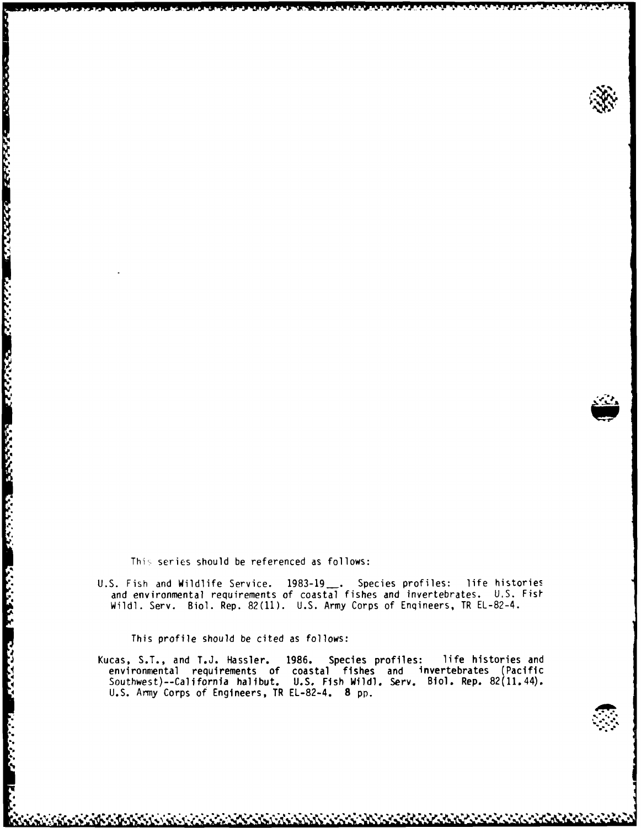This series should be referenced as follows:

and environmental requirements of coastal fishes and invertebrates. U.S. Fish Wildl. Serv. Biol. Rep. 82(11). U.S. Army Corps of Enqineers, TR EL-82-4.

This profile should be cited as follows:

. U.S. Fish and Wildlife Service. 1983-19 **\_.** Species profiles: life histories Kucas, S.T., and T.J. Hassler. 1986. Species profiles: life histories and environmental requirements of coastal fishes and invertebrates (Pacific Southwest)--California halibut. U.S. Fish Wildl. Serv. Biol. Rep. 82(11.44).<br>U.S. Army Corps of Engineers, TB EL-82-4. 8 pp.

9.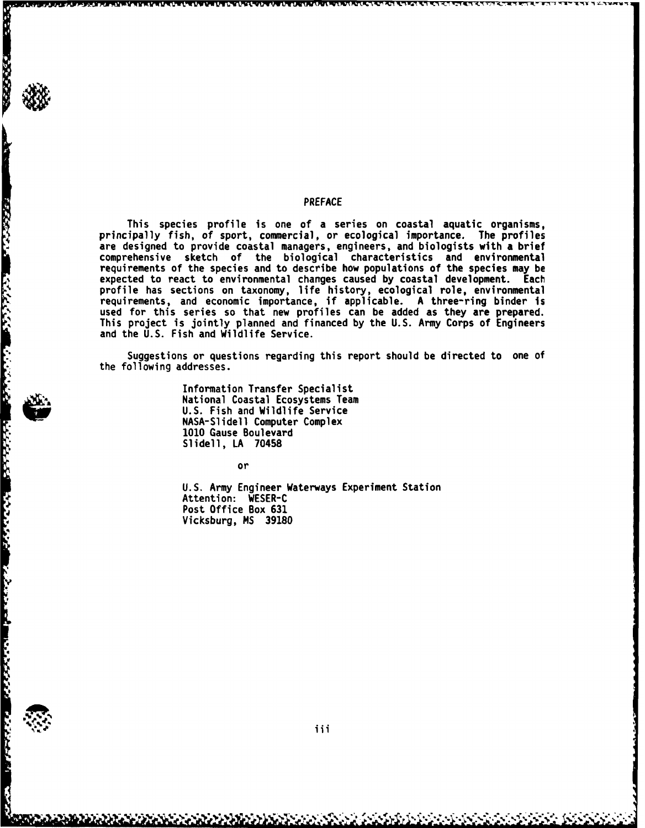### PREFACE

This species profile is one of a series on coastal aquatic organisms, principally fish, of sport, commercial, or ecological importance. The profiles are designed to provide coastal managers, engineers, and biologists with a brief comprehensive sketch of the biological characteristics and environmental requirements of the species and to describe how populations of the species may be expected to react to environmental changes caused **by** coastal development. Each profile has sections on taxonomy, life history, ecological role, environmental requirements, and economic importance, if applicable. **A** three-ring binder is used for this series so that new profiles can be added as they are prepared. This project is jointly planned and financed **by** the **U.S.** Army Corps of Engineers and the **U.S.** Fish and Wildlife Service.

Suggestions or questions regarding this report should be directed to one of the following addresses.

> Information Transfer Specialist National Coastal Ecosystems Team **U.S.** Fish and Wildlife Service NASA-Slidell Computer Complex **<sup>1010</sup>**Gause Boulevard Slidell, **LA 70458**

> > or

**VALIANT CONTRACT CONTRACT OF A STATE OF A STATE OF A STATE OF A STATE OF A STATE OF A STATE OF A STATE OF A ST** 

**RESERVE BEES** 

**ANTICOLOGICAL CONTRACTOR CONTRACTOR** 

**U.S.** Army Engineer Waterways Experiment Station Attention: WESER-C Post Office Box **631** Vicksburg, **MS 39180**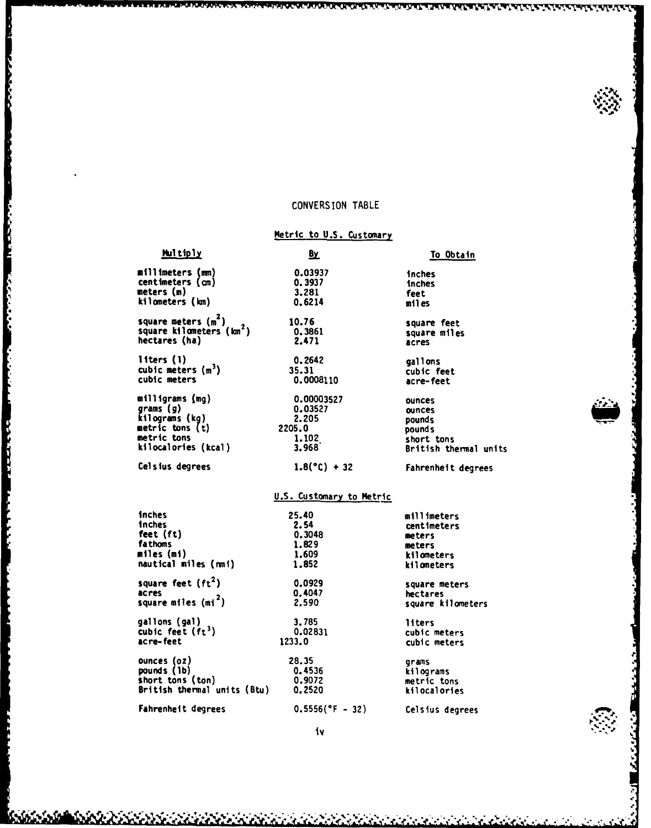# CONVERSION TABLE

LO LO CARARA DA CANZA CANZA CANA DE LA POLA DE LA POLA DE LA POLA POLA POLA POLA POLA POLA POLA

## Metric to **U.S.** Customary

-j

**ROCKET** 

**CONTRACTOR** 

 $\mathcal{L}^{\text{c}}$  and  $\mathcal{L}^{\text{c}}$  and  $\mathcal{L}^{\text{c}}$  and  $\mathcal{L}^{\text{c}}$  and  $\mathcal{L}^{\text{c}}$  and  $\mathcal{L}^{\text{c}}$  and  $\mathcal{L}^{\text{c}}$  and  $\mathcal{L}^{\text{c}}$  and  $\mathcal{L}^{\text{c}}$  and  $\mathcal{L}^{\text{c}}$  and  $\mathcal{L}^{\text{c}}$  and  $\mathcal{L}^{\text{c$ 

**Hultiply By To Obtain** millimeters **mm) 0.03937** inches centimeters (a") **0.3937** Inches meters (m) 3.281 **feet**<br>
kilometers (km) 3.281 **feet**<br>
0.6214 miles kilometers (km) 0.6214 miles square meters **(m2) 10.76** square feet square kilometers ( $km^2$ ) 0.3861 square miles hectares (ha) 2.471 acres **liters (1) 0.2642** gallons cubic meters (m<sup>3</sup>) 35.31 **b** cubic feet<br>cubic meters 0.0008110 acre-feet cubic meters milligrams (mg) 0.00003527 ounces<br>grams (g) 0.03527 ounces<br>kilograms (kg) 2.205 pounds grams **(g) 0.03527** ounces **kilograms (kg) 2.205** pounds **metric tons (t) 2205.0 pounds netric tons 1.102 hours short** metric tons  $\begin{array}{ccc} 1.102 & \text{short} \text{ tons} \\ \text{kilocalories (kcal)} & 3.968 & \text{British th} \end{array}$ kilocalories (kcal) **3.968"** British thermal units Celsius degrees **1.8(°C)** + 32 **Fahrenheit degrees U.S.** Customary to Metric inches 25.40 millimeters inches 25.54 millimeters inches 25.54 millimeters 2.54 centimeters<br>0.3048 meters feet (ft)  $\overline{0.3048}$  meters<br>fathoms 1.829 meters fathoms **1.829** meters miles (ml) **1.609** kilometers nautical miles (nmi) **1.852** kilometers square feet (ft2) **0.0929** square meters 0.4047 **hectares**<br>2.590 **hectares 2.590** square miles (mi<sup>2</sup>) gallons (gal **) 3.785** liters cubic feet (ft<sup>3</sup>)<br>acre-feet 1233.0 cubic meters ounces **(oz) 28.35** grams pounds **(lb) 0.4536** kilograms short tons (ton) **0.9072** metric tons British thermal units (Btu) **0.2520** kilocalorles Fahrenheit degrees **0.5556(°F - 32)** Celsius degrees *,.* 

**.**

*,*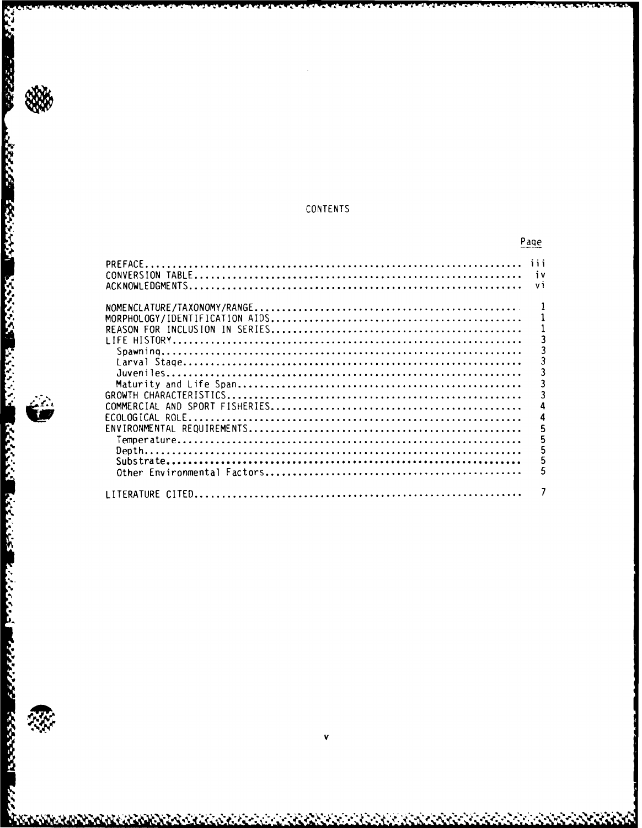# CONTENTS

| Page |          |
|------|----------|
|      |          |
|      | $i \vee$ |
|      | vi       |
|      |          |
|      |          |
|      |          |
|      |          |
|      |          |
|      |          |
|      |          |
|      | 3        |
|      | 3        |
|      |          |
|      | 4        |
|      | 5        |
|      | 5        |
|      | 5        |
|      | 5        |
|      |          |
|      |          |

V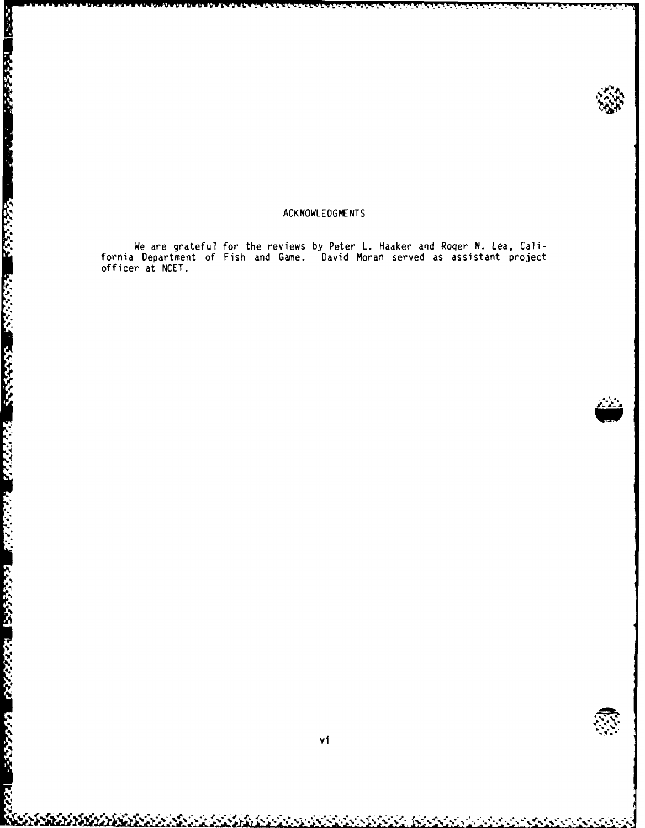## **ACKNOWLEDGMENTS**

We are grateful for the reviews by Peter L. Haaker and Roger N. Lea, California Department of Fish and Game. David Moran served as assistant project officer at NCET.





40,00,00,00,00,00

**MARKANA** 

**THE REAL PROPERTY AND INCOME.** 

**SANTAN REPORT OF STATISTICS** 

227222

**MARINE REGISTER**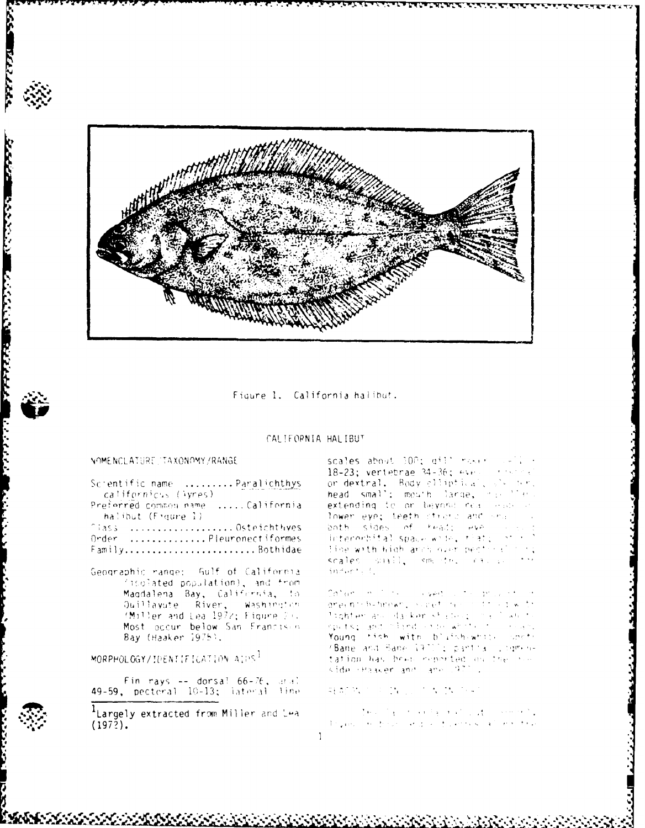Figure 1. California halibut.

### CALIFORNIA HALIBUT

### NOMENCLATURE TAXONOMY/RANGE

Scientific name ......... Paralichthys californicus (lyres) Preferred common name ..... California

halibut (Figure 1) Class ...................Osteichthyes Order .............Pleuronectiformes Family.........................Bothidae

Geographic range: Gulf of California (isolated population), and from Magdalena Bay, California, to Ouillayute River, Washington (Miller and Lea 1972; Figure 2). Most occur below San Francisco Bay (Haaker 1975).

# MORPHOLOGY/IDENTIFICATION AIDS1

Fin rays  $--$  dorsal  $66-76$ , and? 49-59, pecteral 10-13; lateral line

<sup>1</sup>Largely extracted from Miller and Lea  $(1972)$ .

scales about 100; gill raker auf 18-23; vertebrae 34-36; every missing on dextral. Body elliptical, she be, head small: mouth large, resulter extending to or beyond real and a lower eye; teeth strend and shall is both sides of teat: ever also interorbital space wide, that; interline with high anch noon pectical cons scales smill, smooth, racise the indertid.

concern that is a week of the provision of anechnolo-benewn, superficiency though with in com<br>Trahter and darker stadium ina Tish to<br>spects: and hillnd of be white it is reach Young fish with b'isshownia anche (Bane and Bane 1970); partial Logmentation has been coperted on the sum side (Paaker and Lane 1977

# READMONT DOCK OF NON-THAT

The Contract of the Part and County Commercial The production of the second state of the production of the production of  $\mathbf{1}$ 



**KALLAN** 

アクセットのことになっているのです。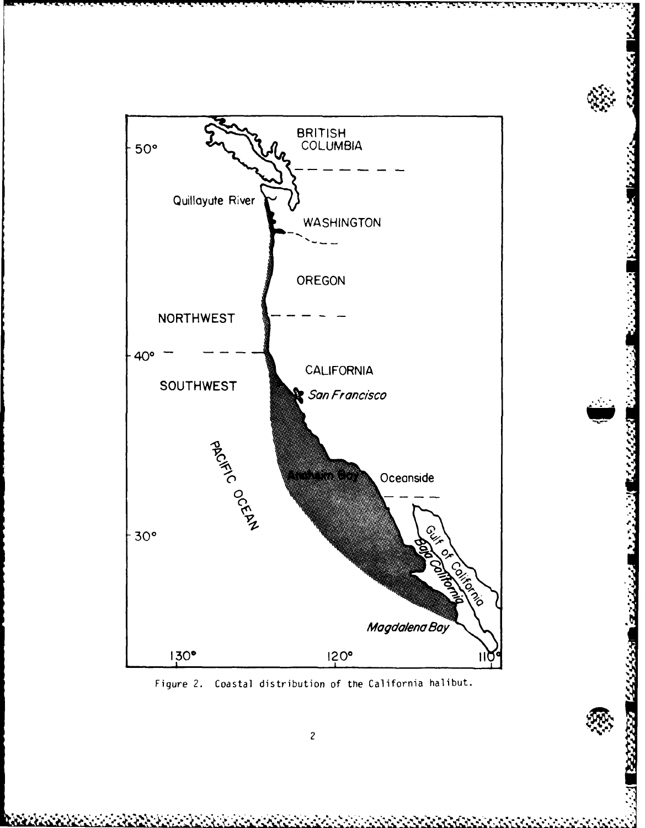

Figure 2. Coastal distribution of the California halibut.

5332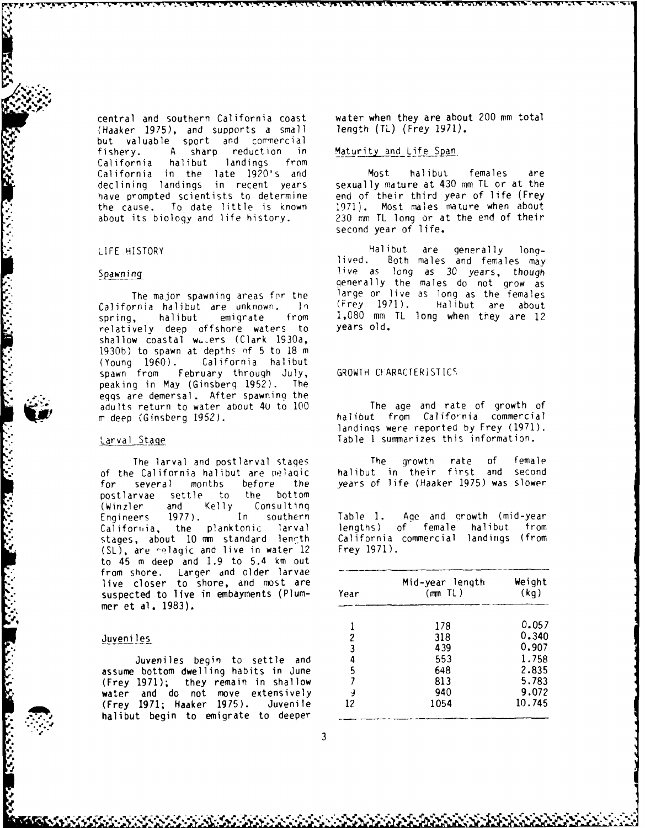$(Haaker 1975)$ , and supports a small but valuable sport and commercial<br>fishery. A sharp reduction in fishery. A sharp reduction in Maturity and Life Span California halibut landings from California in the late 1920's and Most halibut females are<br>declining landings in recent years sexually mature at 430 mm TL or at the declining landings in recent years have prompted scientists to determine end of their third year of life (Frey<br>the cause. To date little is known 1971). Most males mature when about the cause. To date little is known 1971). Most males mature when about<br>about its biology and life history. 230 mm TL long or at the end of their about its biology and life history.

**PARAMENT CONTROLLER CONTROLLER** 

California halibut are unknown. spring, halibut emigrate from 1,080 mm TL long when they are 12<br>relatively deep of shore waters to years old. relatively deep offshore waters to shallow coastal waters (Clark 1930a, 1930b) to spawn at depths nf 5 to 18 m (Young 1960). California halibut spawn from February through July, GROWTH CHARACTERISTICS peaking in May (Ginsberg 1952). The eggs are demersal. After spawning the adults return to water about 4u to 100 The age and rate of growth of m deep (Ginsberg 1952). halibut from California commercial

of the California halibut are pelagic for several months before the years of life (Haaker 1975) was slower postlarvae settle to the bottom (Winzler and Kelly Consulting Engineers 1977). In southern Table **1.** Age and growth (mid-year Carval Stage<br>
The larval and postlarval stages<br>
of the California halibut are pelagic<br>
of the California halibut are pelagic<br>
for several months before the years of life (Haaker 1975) was slower<br>
(winninger and Kelly Consu stages, about 10 mm standard length california<br>(SL), are relagic and live in water 12 Frey 1971). (SL), are relagic and live in water 12 to 45 m deep and 1.9 to 5.4 km out from shore. Larger and older larvae live closer to shore, and most are suspected to live in embayments (Plummer et al. 1983).

### Juveniles

Juveniles begin to settle and assume bottom dwelling habits in June (Frey 1971); they remain in shallow water and do not move extensively (Frey 1971; Haaker 1975). Juvenile halibut begin to emigrate to deeper

central and southern California coast water when they are about 200 mm total<br>(Haaker 1975), and supports a small length (TL) (Frey 1971).

second year of life.

LIFE HISTORY Halibut are generally long- lived. Both males and females may Spawning live as long as 30 years, though generally the males do not grow as The major spawning areas for the large or live as long as the females<br>rnia halibut are unknown. In (Frey 1971). Halibut are about

landings were reported by Frey (1971). Larval Staqe Table **1** summarizes this information.

The larval and postlarval stages The growth rate of female<br>California halibut are pelagic - halibut in their first and second

| Year | Mid-year length<br>(mm TL) | Weight<br>(kg) |
|------|----------------------------|----------------|
|      | 178                        | 0.057          |
| າ    | 318                        | 0.340          |
| 3    | 439                        | 0.907          |
|      | 553                        | 1.758          |
| 5    | 648                        | 2.835          |
|      | 813                        | 5.783          |
|      | 940                        | 9.072          |
| 12   | 1054                       | 10.745         |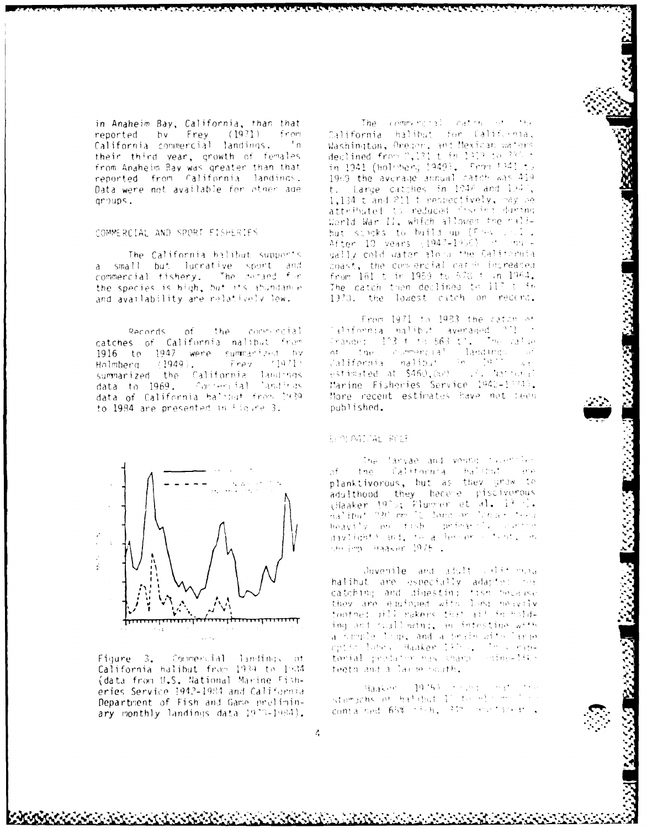in Anaheim Bay, California, than that by Frey (1971) from reported California commercial landings.  $\blacksquare$ their third year, growth of females from Anaheim Bay was greater than that reported from California landings. Data were not available for other age arbuos.

### COMMERCIAL AND SPORT FISHERIES

The California halibut supports a small but lucrative sport and commercial fishery. The manand for the species is high, but its abundance and availability are relatively low.

Records of the communical catches of California nalibut from 1916 to 1947 were summarized by  $(1949)$ . Frey (1971) Holmberg summarized the California landings data to 1969. Concercial landiras data of California halibut from 1939 to 1984 are presented in Figure 3.



Figure 3. Commercial landings of California halibut from 1939 to 1934 (data from U.S. National Marine Fisheries Service 1942-1984 and California Department of Fish and Game preliminary monthly landings data 1973-1984).

The commencial catch of the California halibut for California. Washington, Oregon, and Mexican waters<br>declined from 0,131 t in 1919 to 230 t in 1941 (Holiberg 1949). From 1941 to 1969 the average annual catch was 419 t. Targe catches in 1946 and 1947. 1.134 t and 211 t respectively, may be attributed to reduced fiscing during World War II, which allowed the nalibut stocks to build up (Fres. this. After 10 years (1947-1956) + hanually cold vater along the California coast, the commercial car in increased from 161 t in 1959 to 578 t in 1964.<br>The catch then declined to 117 t in 1970. the lowest catch on record.

From 1971 to 1983 the cation of "alifornia halibut averaged ?'1 + (range: 123 t th 563 th. The value etaham. I die sommangla! (landings) of<br>California (nalibut in 1911) was<br>estimated at \$460,00! (S. National Marine Fisheries Service 1942-1991). More recent estimates have not been published.

### EPROGLOAL BOLE

The larvae and vound recentles the California balibut are planktivorous, but as they grow to adulthood they become piscivorous (Haaker 1975; Fluerer et al. 19 m). Halibut 230 mm T2 long or lines teers heavily on fish priestics control daylight) and, to a lesser situation the ling. Haaker 1975 .

Juvenile and adult will mila halibut are especially adapted to catching and digesting fish because they are equipped with long neavoly toother dill rakers that ail in holding and suallowing, an intesting with a Simple Loup, and a brain with large option labes (Haaker 1975). This raptorial predator has sharp collective teeth and a large couth.

Baaken 1926) recent materials stemachs of halibut 11 formlines inc contained 65% tich, 31% and most .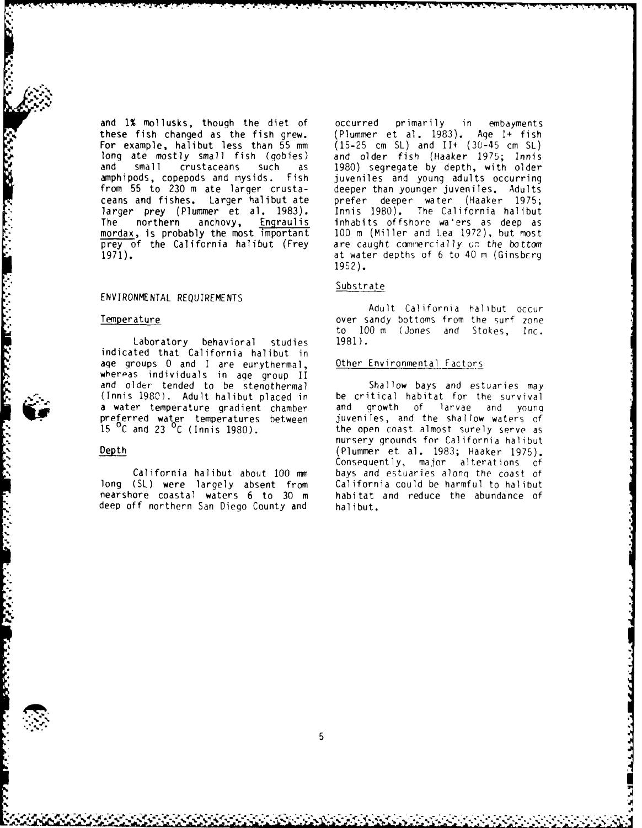and 1% mollusks, though the diet of occurred primarily in embayments these fish changed as the fish grew. (Plummer et al. 1983). Age **1+** fish For example, halibut less than 55 mm (15-25 cm SL) and 11+ (30-45 cm SL) long ate mostly small fish (gobies) and older fish (Haaker 1975; Innis and small crustaceans such as 1980) segregate by depth, with older<br>amphipods, copepods and mysids. Fish juveniles and young adults occurring from 55 to 230 m ate larger crusta- deeper than younger juveniles. Adults ceans and fishes. Larger halibut ate prefer deeper water (Haaker 1975;<br>larger prey (Plummer et al. 1983). Innis 1980). The California halibut The northern anchovy, Engraulis inhabits offshore wa'ers as deep as mordax, is probably the most important 100 m (Miller and Lea 1972), but most mordax, is probably the most important **100** m (Miller and Lea 1972), but most prey of the California halibut (Frey 1971). at water depths of 6 to 40 m (Ginsbcrg

### **ENVIRONMENTAL REQUIREMENTS**

**AND AND REAL PROPERTY AND REAL PROPERTY.** 

アンファン アンディング・アンディング

Laboratory behavioral studies 1981). indicated that California halibut in age groups 0 and I are eurythermal, Other Environmental Factors whereas individuals in age group II and older tended to be stenothermal Shallow bays and estuaries may (Innis 1980). Adult halibut placed in be critical habitat for the survival a water temperature gradient chamber and growth of larvae and younq preferred water temperatures between juveniles, and the shallow waters of

long (SL) were largely absent from California could be harmful to halibut nearshore coastal waters 6 to 30 m habitat and reduce the abundance of deep off northern San Diego County and halibut.

juveniles and young adults occurring Innis 1980). The California halibut 1952).

### **Substrate**

Adult California halibut occur Temperature **over sandy bottoms** from the surf zone to **100** m (Jones and Stokes, Inc.

15 °C and 23 °C (Innis 1980). the open coast almost surely serve as nursery grounds for California halibut Depth (Plummer et al. 1983; Haaker 1975). Consequently, major alterations of California halibut about **100** mm bays and estuaries alonq the coast of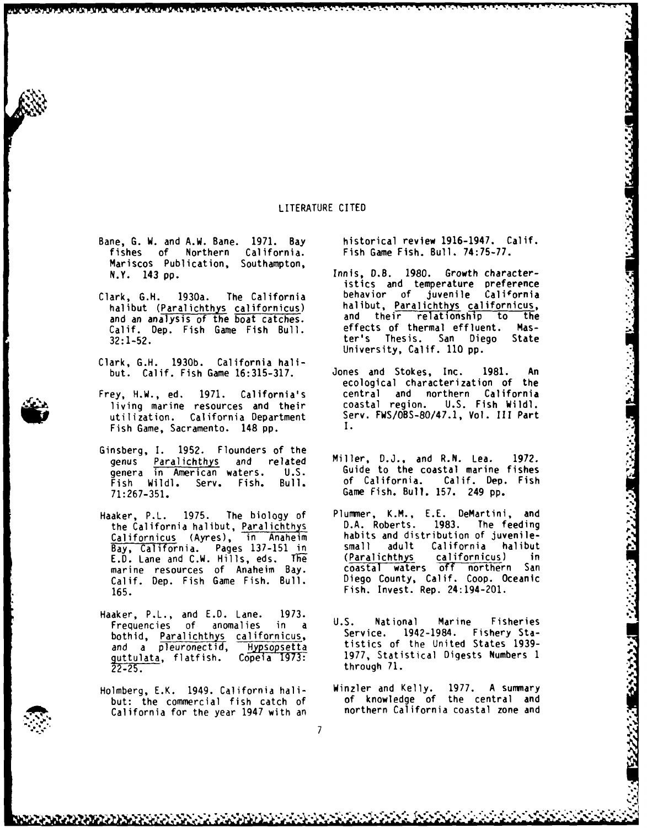## LITERATURE CITED

**7**

- Bane, G. W. and A.W. Bane. 1971. Bay historical review 1916-1947. Calif.<br>Fishes of Northern California. Fish Game Fish. Bull. 74:75-77. fishes of Northern California. Mariscos Publication, Southampton, N.Y. 143 pp. Innis, D.B. 1980. Growth character-
- Calif. Dep. Fish Game Fish Bull.
- Clark, G.H. 1930b. California hali-
- utilization. California Department Serv.<br>Fish Game, Sacramente, 148 pp. 1. Fish Game, Sacramento. 148 pp.
- Ginsberg, I. 1952. Flounders of the  $Fish$  Wildl. Serv. Fish. Bull. 71:267-351. Game Fish. Bull. 157. 249 pp.
- E.D. Lane and C.W. Hills, eds. The 165. Fish. Invest. Rep. 24:194-201.
- Haaker, P.L., and E.D. Lane. 1973. est, i.e., and even cance in a U.S. National Marine Fisheries<br>Frequencies of anomalies in a U.S. National Marine Fishery Stabothid, Paralichthys californicus, 22-25. through 71.
- California for the year 1947 with an

1993399

大学 かいこく こうしょう アンドランド

الانتخاذنة

- istics and temperature preference<br>behavior of juvenile California Clark, G.H. 1930a. The California behavior of juvenile California halibut (Paralichthys californicus) halibut, Paralichthys californicus,<br>and an analysis of the boat catches. and their relationship to the and an analysis of the boat catches. and their relationship to the 32:1-52. ter's Thesis. San Diego State University, Calif. 110 pp.
- but. Calif. Fish Game 16:315-317. Jones and Stokes, Inc. 1981. An ecological characterization of the Frey, H.W., ed. 1971. California's central and northern California living marine resources and their coastal region. U.S. Fish Wildl.
	- genus **Paralichthys** and related Miller, D.J., and R.N. Lea. 1972.<br>genera in American waters. U.S. Guide to the coastal marine fishes genera in American waters. U.S. Guide to the coastal marine fishes<br>Fish Wildl, Serv, Fish, Bull, 90 California. Calif. Dep. Fish
- Haaker, P.L. 1975. The biology of Plummer, K.M., E.E. DeMartini, and the California halibut, Paralichthys D.A. Roberts. 1983. The feeding<br>Californicus (Avres). In Anaheim habits and distribution of juvenile-Californicus (Ayres), in Anaheim habits and distribution of juvenile-Bay, California. Pages 137-151 in small adult California halibut<br>E.D. Lane and C.W. Hills. eds. The (Paralichthys californicus) in marine resources of Anaheim Bay. coastal waters off northern San Calif. Dep. Fish Game Fish. Bull. Diego County, Calif. Coop. Oceanic
	- and a pleuronectid, Hypsopsetta<br>
	guttulata, flatfish. Copeia 1973: 1977, Statistical Digests Numbers 1 Copeia 1973: 1977, Statistical Digests Numbers 1
- Holmberg, E.K. 1949. California hali- Winzler and Kelly. 1977. A summary but: the commercial fish catch of of knowledge of the central and<br>California-for-the-year-1947-with-an and inorthern-California-coastal-zone-and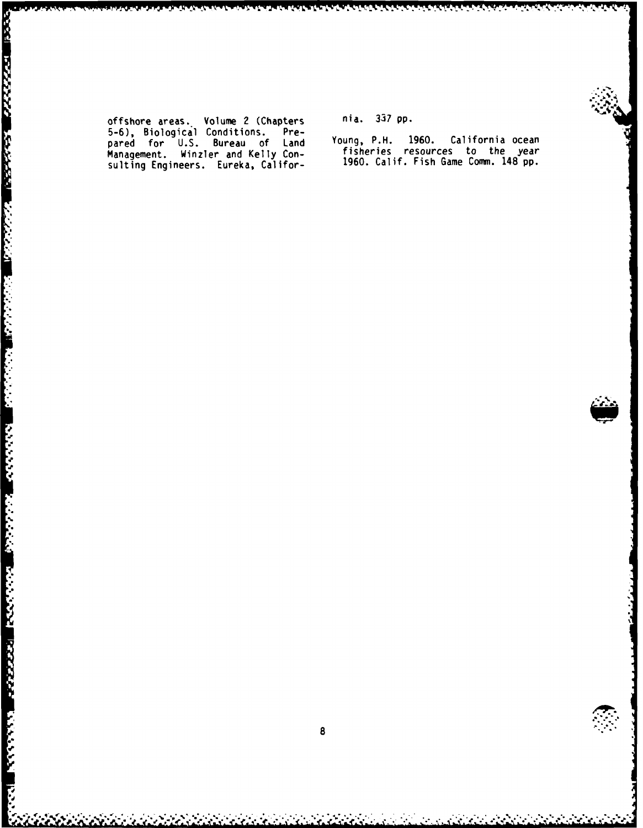

offshore areas. Volume 2 (Chapters<br>5-6), Biological Conditions. Pre-<br>pared for U.S. Bureau of Land<br>Management. Winzler and Kelly Con-<br>sulting Engineers. Eureka, Califor-

nia. 337 pp.

Young, P.H. 1960. California ocean fisheries resources to the year<br>1960. Calif. Fish Game Comm. 148 pp.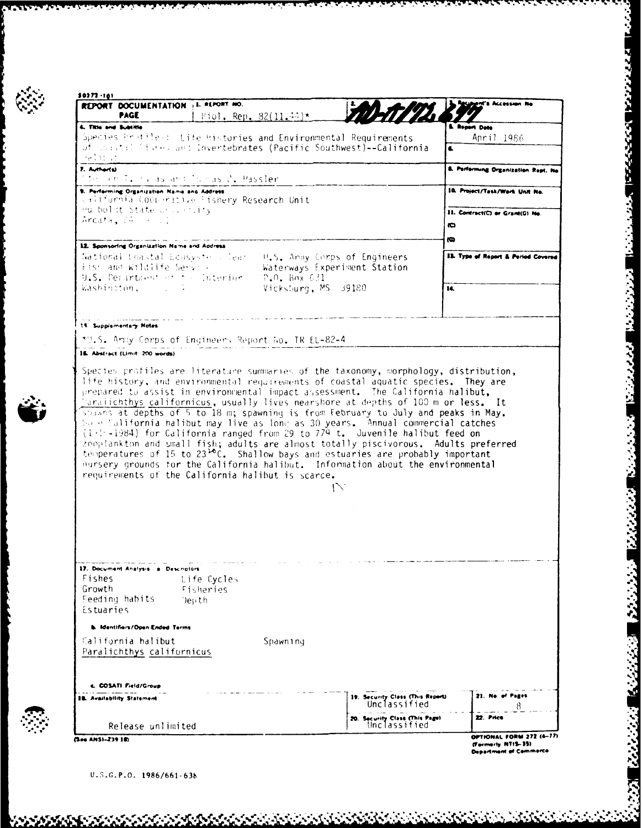| <b>PAGE</b><br>- Biol. Rep. 82(11.44)*<br>4. Title and Subtitle<br>Species Profiles: Life Histories and Environmental Requirements<br>of constal fives and invertebrates (Pacific Southwest) -- California<br>Pelmon<br>7. Authorist<br>Steller T. Evas and To has 2. Passler<br>9. Performing Organization Name and Address<br>California Cooperative Eishery Research Unit<br>Hu boldt State and anythy<br>Arcata, CA SHOULD<br>12. Sponsoring Organization Name and Accress<br>National Coastal Edusyste - Cearly U.S. Amay Comps of Engineers<br>Fish and Wildlife Service Communist<br>Waterways Experiment Station<br>U.S. Decartment of the Interior - P.O. Box 621.<br>Washindton, J. J.<br>Vicksburg, MS 39180<br>15. Supplementary Notes<br>*"LS. Army Corps of Engineers Report No. TR EL-82-4<br>16. Abstract (Limit: 200 words)<br>Species profiles are literature summaries of the taxonomy, morphology, distribution,<br>life history, and environmental requirements of coastal aquatic species. They are<br>prepared to assist in environmental impact assessment. The California halibut,<br>aralichthys californicus, usually lives nearshore at depths of 100 m or less. It<br>Spawns at depths of 5 to 18 m; spawning is from February to July and peaks in May.<br>So e California halibut may live as long as 30 years. Annual commercial catches<br>$(1/2)$ : -1984) for California ranged from 29 to 779 t. Juvenile halibut feed on<br>zeeplankton and small fish; adults are almost totally piscivorous. Adults preferred<br>temperatures of 15 to $23^{16}C$ . Shallow bays and estuaries are probably important<br>nursery grounds for the California halibut. Information about the environmental<br>requirements of the California halibut is scarce.<br>IN. | <b>L</b> Regert Date<br>April 1986<br>£.<br>8. Performing Organization Rept. Ne<br>10. Project/Task/Work Unit No.<br>11. Contract(C) or Grant(G) No.<br><b>CO</b><br>ಣ<br>13. Type of Report & Period Covered<br>14. |
|---------------------------------------------------------------------------------------------------------------------------------------------------------------------------------------------------------------------------------------------------------------------------------------------------------------------------------------------------------------------------------------------------------------------------------------------------------------------------------------------------------------------------------------------------------------------------------------------------------------------------------------------------------------------------------------------------------------------------------------------------------------------------------------------------------------------------------------------------------------------------------------------------------------------------------------------------------------------------------------------------------------------------------------------------------------------------------------------------------------------------------------------------------------------------------------------------------------------------------------------------------------------------------------------------------------------------------------------------------------------------------------------------------------------------------------------------------------------------------------------------------------------------------------------------------------------------------------------------------------------------------------------------------------------------------------------------------------------------------------------------------------------------------------------|----------------------------------------------------------------------------------------------------------------------------------------------------------------------------------------------------------------------|
|                                                                                                                                                                                                                                                                                                                                                                                                                                                                                                                                                                                                                                                                                                                                                                                                                                                                                                                                                                                                                                                                                                                                                                                                                                                                                                                                                                                                                                                                                                                                                                                                                                                                                                                                                                                             |                                                                                                                                                                                                                      |
|                                                                                                                                                                                                                                                                                                                                                                                                                                                                                                                                                                                                                                                                                                                                                                                                                                                                                                                                                                                                                                                                                                                                                                                                                                                                                                                                                                                                                                                                                                                                                                                                                                                                                                                                                                                             |                                                                                                                                                                                                                      |
|                                                                                                                                                                                                                                                                                                                                                                                                                                                                                                                                                                                                                                                                                                                                                                                                                                                                                                                                                                                                                                                                                                                                                                                                                                                                                                                                                                                                                                                                                                                                                                                                                                                                                                                                                                                             |                                                                                                                                                                                                                      |
|                                                                                                                                                                                                                                                                                                                                                                                                                                                                                                                                                                                                                                                                                                                                                                                                                                                                                                                                                                                                                                                                                                                                                                                                                                                                                                                                                                                                                                                                                                                                                                                                                                                                                                                                                                                             |                                                                                                                                                                                                                      |
|                                                                                                                                                                                                                                                                                                                                                                                                                                                                                                                                                                                                                                                                                                                                                                                                                                                                                                                                                                                                                                                                                                                                                                                                                                                                                                                                                                                                                                                                                                                                                                                                                                                                                                                                                                                             |                                                                                                                                                                                                                      |
|                                                                                                                                                                                                                                                                                                                                                                                                                                                                                                                                                                                                                                                                                                                                                                                                                                                                                                                                                                                                                                                                                                                                                                                                                                                                                                                                                                                                                                                                                                                                                                                                                                                                                                                                                                                             |                                                                                                                                                                                                                      |
|                                                                                                                                                                                                                                                                                                                                                                                                                                                                                                                                                                                                                                                                                                                                                                                                                                                                                                                                                                                                                                                                                                                                                                                                                                                                                                                                                                                                                                                                                                                                                                                                                                                                                                                                                                                             |                                                                                                                                                                                                                      |
|                                                                                                                                                                                                                                                                                                                                                                                                                                                                                                                                                                                                                                                                                                                                                                                                                                                                                                                                                                                                                                                                                                                                                                                                                                                                                                                                                                                                                                                                                                                                                                                                                                                                                                                                                                                             |                                                                                                                                                                                                                      |
|                                                                                                                                                                                                                                                                                                                                                                                                                                                                                                                                                                                                                                                                                                                                                                                                                                                                                                                                                                                                                                                                                                                                                                                                                                                                                                                                                                                                                                                                                                                                                                                                                                                                                                                                                                                             |                                                                                                                                                                                                                      |
|                                                                                                                                                                                                                                                                                                                                                                                                                                                                                                                                                                                                                                                                                                                                                                                                                                                                                                                                                                                                                                                                                                                                                                                                                                                                                                                                                                                                                                                                                                                                                                                                                                                                                                                                                                                             |                                                                                                                                                                                                                      |
|                                                                                                                                                                                                                                                                                                                                                                                                                                                                                                                                                                                                                                                                                                                                                                                                                                                                                                                                                                                                                                                                                                                                                                                                                                                                                                                                                                                                                                                                                                                                                                                                                                                                                                                                                                                             |                                                                                                                                                                                                                      |
|                                                                                                                                                                                                                                                                                                                                                                                                                                                                                                                                                                                                                                                                                                                                                                                                                                                                                                                                                                                                                                                                                                                                                                                                                                                                                                                                                                                                                                                                                                                                                                                                                                                                                                                                                                                             |                                                                                                                                                                                                                      |
|                                                                                                                                                                                                                                                                                                                                                                                                                                                                                                                                                                                                                                                                                                                                                                                                                                                                                                                                                                                                                                                                                                                                                                                                                                                                                                                                                                                                                                                                                                                                                                                                                                                                                                                                                                                             |                                                                                                                                                                                                                      |
|                                                                                                                                                                                                                                                                                                                                                                                                                                                                                                                                                                                                                                                                                                                                                                                                                                                                                                                                                                                                                                                                                                                                                                                                                                                                                                                                                                                                                                                                                                                                                                                                                                                                                                                                                                                             |                                                                                                                                                                                                                      |
| 17. Document Analysis<br><b>a</b> Descriptors<br>Fishes<br>Life Cycles<br>Growth<br>Fisheries<br>Feeding habits<br>Deuth.<br>Estuaries                                                                                                                                                                                                                                                                                                                                                                                                                                                                                                                                                                                                                                                                                                                                                                                                                                                                                                                                                                                                                                                                                                                                                                                                                                                                                                                                                                                                                                                                                                                                                                                                                                                      |                                                                                                                                                                                                                      |
| <b>b.</b> Identifiers/Open-Ended Terms                                                                                                                                                                                                                                                                                                                                                                                                                                                                                                                                                                                                                                                                                                                                                                                                                                                                                                                                                                                                                                                                                                                                                                                                                                                                                                                                                                                                                                                                                                                                                                                                                                                                                                                                                      |                                                                                                                                                                                                                      |
| California halibut<br>Spawning<br>Paralichthys californicus                                                                                                                                                                                                                                                                                                                                                                                                                                                                                                                                                                                                                                                                                                                                                                                                                                                                                                                                                                                                                                                                                                                                                                                                                                                                                                                                                                                                                                                                                                                                                                                                                                                                                                                                 |                                                                                                                                                                                                                      |
| e. COSATI Field/Group<br><b>18.</b> Availability Statement                                                                                                                                                                                                                                                                                                                                                                                                                                                                                                                                                                                                                                                                                                                                                                                                                                                                                                                                                                                                                                                                                                                                                                                                                                                                                                                                                                                                                                                                                                                                                                                                                                                                                                                                  | 21. No. of Pages<br>19. Security Class (This Report)                                                                                                                                                                 |
|                                                                                                                                                                                                                                                                                                                                                                                                                                                                                                                                                                                                                                                                                                                                                                                                                                                                                                                                                                                                                                                                                                                                                                                                                                                                                                                                                                                                                                                                                                                                                                                                                                                                                                                                                                                             | Unclassified<br>8                                                                                                                                                                                                    |
| Unclassified<br>Release unlimited                                                                                                                                                                                                                                                                                                                                                                                                                                                                                                                                                                                                                                                                                                                                                                                                                                                                                                                                                                                                                                                                                                                                                                                                                                                                                                                                                                                                                                                                                                                                                                                                                                                                                                                                                           | 22. Price<br>20. Security Class (This Page)                                                                                                                                                                          |

(Formerly: NTIS-35)<br>Department of Commerce

ir.

U.S.G.P.O. 1986/661-638

**VASSES SESS** 

 $-10.5$